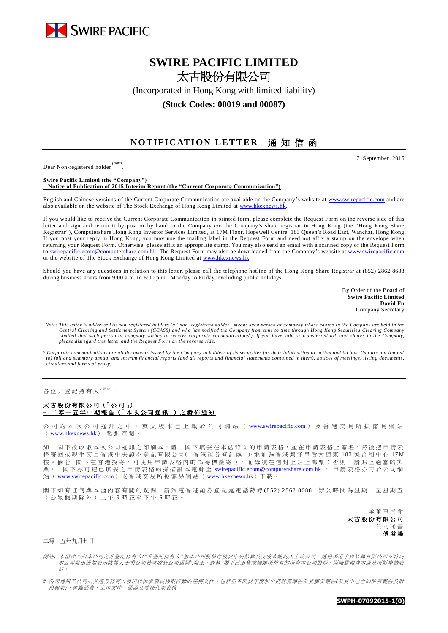

# **SWIRE PACIFIC LIMITED** 太古股份有限公司

(Incorporated in Hong Kong with limited liability)

**(Stock Codes: 00019 and 00087)**

# **NOTIFICATION LETTER** 通知信函

Dear Non-registered holder *(Note)* ,

#### **Swire Pacific Limited (the "Company")**

**– Notice of Publication of 2015 Interim Report (the "Current Corporate Communication")**

English and Chinese versions of the Current Corporate Communication are available on the Company's website at [www.swirepacific.com](http://www.swirepacific.com/) and are also available on the website of The Stock Exchange of Hong Kong Limited at www.hkexnews.hk

If you would like to receive the Current Corporate Communication in printed form, please complete the Request Form on the reverse side of this letter and sign and return it by post or by hand to the Company c/o the Company's share registrar in Hong Kong (the "Hong Kong Share Registrar"), Computershare Hong Kong Investor Services Limited, at 17M Floor, Hopewell Centre, 183 Queen's Road East, Wanchai, Hong Kong. If you post your reply in Hong Kong, you may use the mailing label in the Request Form and need not affix a stamp on the envelope when returning your Request Form. Otherwise, please affix an appropriate stamp. You may also send an email with a scanned copy of the Request Form to [swirepacific.ecom@computershare.com.hk.](mailto:swirepacific.ecom@computershare.com.hk) The Request Form may also be downloaded from the Company's website a[t www.swirepacific.com](http://www.swirepacific.com/) or the website of The Stock Exchange of Hong Kong Limited at [www.hkexnews.hk.](http://www.hkexnews.hk/)

Should you have any questions in relation to this letter, please call the telephone hotline of the Hong Kong Share Registrar at (852) 2862 8688 during business hours from 9:00 a.m. to 6:00 p.m., Monday to Friday, excluding public holidays.

> By Order of the Board of **Swire Pacific Limited David Fu** Company Secretary

- *Note: This letter is addressed to non-registered holders (a "non- registered holder" means such person or company whose shares in the Company are held in the*  Central Clearing and Settlement System (CCASS) and who has notified the Company from time to time through Hong Kong Securities Clearing Company<br>Limited that such person or company wishes to receive corporate communications *please disregard this letter and the Request Form on the reverse side.*
- *# Corporate communications are all documents issued by the Company to holders of its securities for their information or action and include (but are not limited to) full and summary annual and interim financial reports (and all reports and financial statements contained in them), notices of meetings, listing documents, circulars and forms of proxy.*

各位非登記持有人( $\mathcal{M}$  #):

### 太古股份有限公司(「公司 **–** 二 零 一 五 年 中 期 報 告 (「 本 次 公 司 通 訊 」) 之 發 佈 通 知

公 司 的 本 次 公 司 通 訊 之 中 、 英 文 版 本 已 上 載 於 公 司 網 站 ( [www.swirepacific.com](http://www.swirepacific.com/) ) 及 香 港 交 易 所 披 露 易 網 站 ( [www.hkexnews.hk](http://www.hkexnews.hk/)), 歡迎查閱。

如 閣下欲收取本次公司通訊之印刷本,請 閣下填妥在本函背面的申請表格,並在申請表格上簽名,然後把申請表 格寄回或親手交回香港中央證券登記有限公司(「香港證券登記處」),地址為香港灣仔皇后大道東 183號合和中心 17M 樓。倘若 閣下在香港投寄,可使用申請表格內的郵寄標籤寄回,而毋須在信封上貼上郵票;否則,請貼上適當的郵 票。 閣下亦可把已填妥之申請表格的掃描副本電郵至 [swirepacific.ecom@computershare.com.hk](mailto:swirepacific.ecom@computershare.com.hk) 。 申請表格亦可於公司網 站 ( [www.swirepacific.com](http://www.swirepacific.com/)) 或香港交易所披露易網站 ( [www.hkexnews.hk](http://www.hkexnews.hk/)) 下載

閣下如有任何與本函內容有關的疑問 , 請 致 電 香 港 證 券 登 記 處 電話熱線 ( 8 5 2 ) 2 8 62 86 88, 辦 公 時 間 為 星 期 一 至 星 期 五 (公眾假期除外)上午 9 時正至下午 6 時正。

> 承董事 局 命 太古股份有限公司 公司秘書 傅 溢 鴻

### 二零一五年九月七日

附註*:* 本函件乃向本公司之非登記持有人*("*非登記持有人*"*指本公司股份存放於中央結算及交收系統的人士或公司,透過香港中央結算有限公司不時向 本公司發出通知表示該等人士或公司希望收到公司通訊<sup>+</sup>)發出。 倘若 閣下已出售或轉讓所持有的所有本公司股份,則無需理會本函及所附申請表 格。

*#* 公司通訊乃公司向其證券持有人發出以供參照或採取行動的任何文件,包括但不限於年度和中期財務報告及其摘要報告*(*及其中包含的所有報告及財 務報表*)*、會議通告、上市文件、通函及委任代表表格。

**SWPH-07092015-1(0)**

7 September 2015